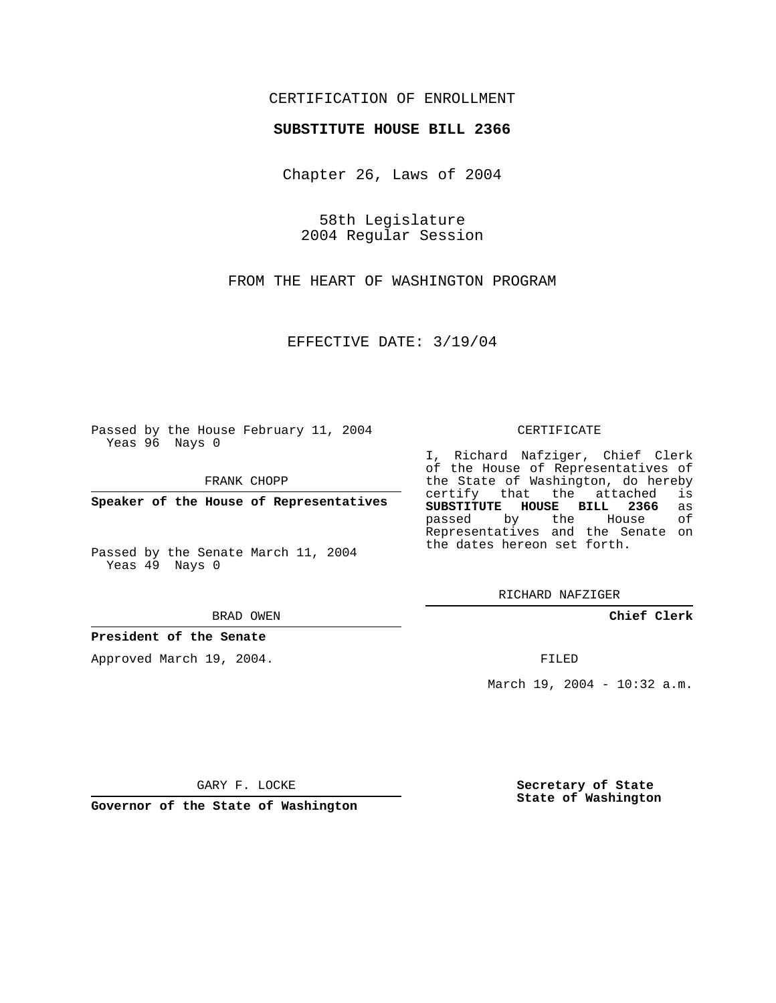## CERTIFICATION OF ENROLLMENT

### **SUBSTITUTE HOUSE BILL 2366**

Chapter 26, Laws of 2004

58th Legislature 2004 Regular Session

FROM THE HEART OF WASHINGTON PROGRAM

EFFECTIVE DATE: 3/19/04

Passed by the House February 11, 2004 Yeas 96 Nays 0

FRANK CHOPP

**Speaker of the House of Representatives**

Passed by the Senate March 11, 2004 Yeas 49 Nays 0

BRAD OWEN

## **President of the Senate**

Approved March 19, 2004.

#### CERTIFICATE

I, Richard Nafziger, Chief Clerk of the House of Representatives of the State of Washington, do hereby<br>certify that the attached is certify that the attached **SUBSTITUTE HOUSE BILL 2366** as passed by the House Representatives and the Senate on the dates hereon set forth.

RICHARD NAFZIGER

**Chief Clerk**

FILED

March 19, 2004 - 10:32 a.m.

GARY F. LOCKE

**Governor of the State of Washington**

**Secretary of State State of Washington**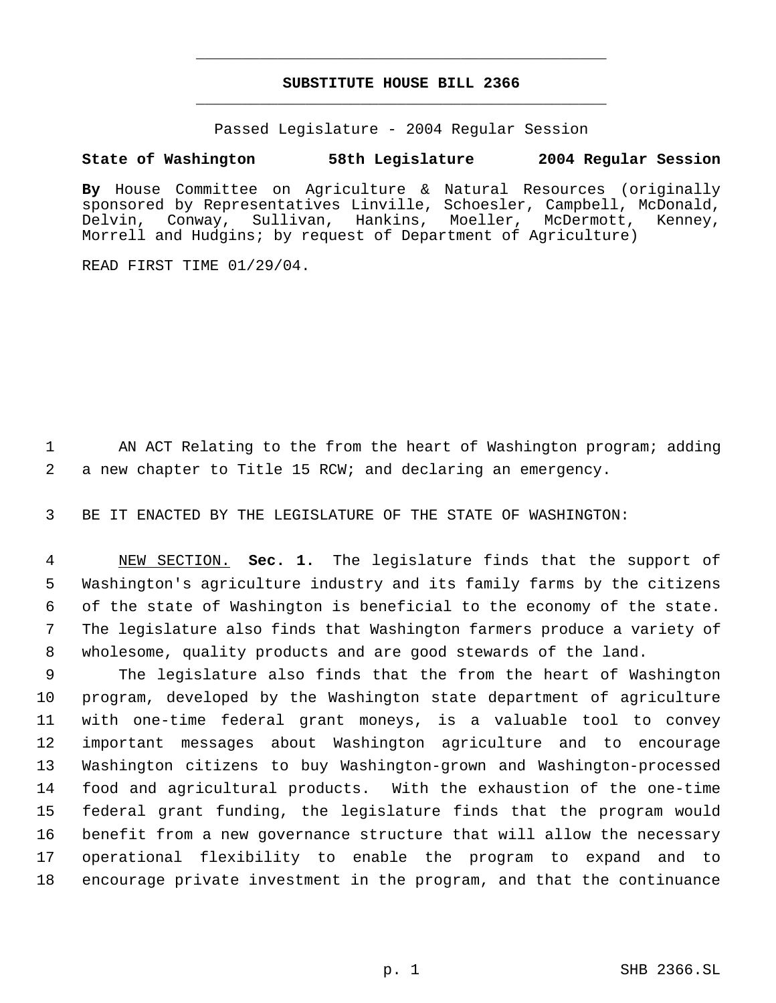# **SUBSTITUTE HOUSE BILL 2366** \_\_\_\_\_\_\_\_\_\_\_\_\_\_\_\_\_\_\_\_\_\_\_\_\_\_\_\_\_\_\_\_\_\_\_\_\_\_\_\_\_\_\_\_\_

\_\_\_\_\_\_\_\_\_\_\_\_\_\_\_\_\_\_\_\_\_\_\_\_\_\_\_\_\_\_\_\_\_\_\_\_\_\_\_\_\_\_\_\_\_

Passed Legislature - 2004 Regular Session

# **State of Washington 58th Legislature 2004 Regular Session**

**By** House Committee on Agriculture & Natural Resources (originally sponsored by Representatives Linville, Schoesler, Campbell, McDonald, Delvin, Conway, Sullivan, Hankins, Moeller, McDermott, Kenney, Morrell and Hudgins; by request of Department of Agriculture)

READ FIRST TIME 01/29/04.

 AN ACT Relating to the from the heart of Washington program; adding a new chapter to Title 15 RCW; and declaring an emergency.

BE IT ENACTED BY THE LEGISLATURE OF THE STATE OF WASHINGTON:

 NEW SECTION. **Sec. 1.** The legislature finds that the support of Washington's agriculture industry and its family farms by the citizens of the state of Washington is beneficial to the economy of the state. The legislature also finds that Washington farmers produce a variety of wholesome, quality products and are good stewards of the land.

 The legislature also finds that the from the heart of Washington program, developed by the Washington state department of agriculture with one-time federal grant moneys, is a valuable tool to convey important messages about Washington agriculture and to encourage Washington citizens to buy Washington-grown and Washington-processed food and agricultural products. With the exhaustion of the one-time federal grant funding, the legislature finds that the program would benefit from a new governance structure that will allow the necessary operational flexibility to enable the program to expand and to encourage private investment in the program, and that the continuance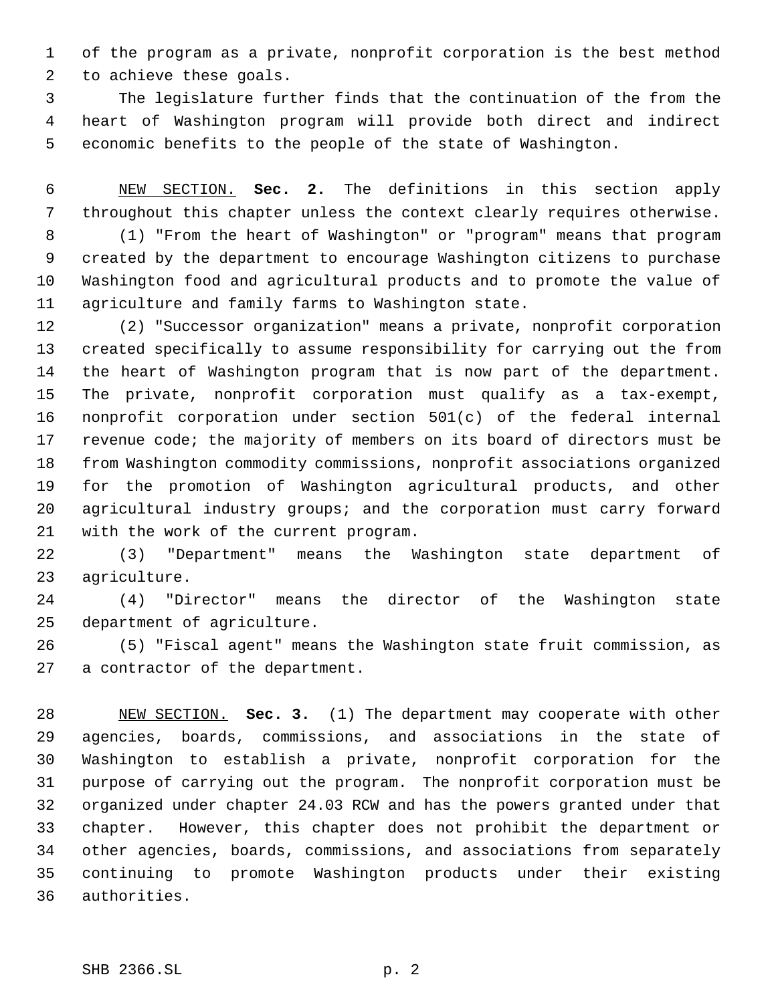of the program as a private, nonprofit corporation is the best method to achieve these goals.

 The legislature further finds that the continuation of the from the heart of Washington program will provide both direct and indirect economic benefits to the people of the state of Washington.

 NEW SECTION. **Sec. 2.** The definitions in this section apply throughout this chapter unless the context clearly requires otherwise. (1) "From the heart of Washington" or "program" means that program created by the department to encourage Washington citizens to purchase Washington food and agricultural products and to promote the value of agriculture and family farms to Washington state.

 (2) "Successor organization" means a private, nonprofit corporation created specifically to assume responsibility for carrying out the from the heart of Washington program that is now part of the department. The private, nonprofit corporation must qualify as a tax-exempt, nonprofit corporation under section 501(c) of the federal internal revenue code; the majority of members on its board of directors must be from Washington commodity commissions, nonprofit associations organized for the promotion of Washington agricultural products, and other agricultural industry groups; and the corporation must carry forward with the work of the current program.

 (3) "Department" means the Washington state department of agriculture.

 (4) "Director" means the director of the Washington state department of agriculture.

 (5) "Fiscal agent" means the Washington state fruit commission, as a contractor of the department.

 NEW SECTION. **Sec. 3.** (1) The department may cooperate with other agencies, boards, commissions, and associations in the state of Washington to establish a private, nonprofit corporation for the purpose of carrying out the program. The nonprofit corporation must be organized under chapter 24.03 RCW and has the powers granted under that chapter. However, this chapter does not prohibit the department or other agencies, boards, commissions, and associations from separately continuing to promote Washington products under their existing authorities.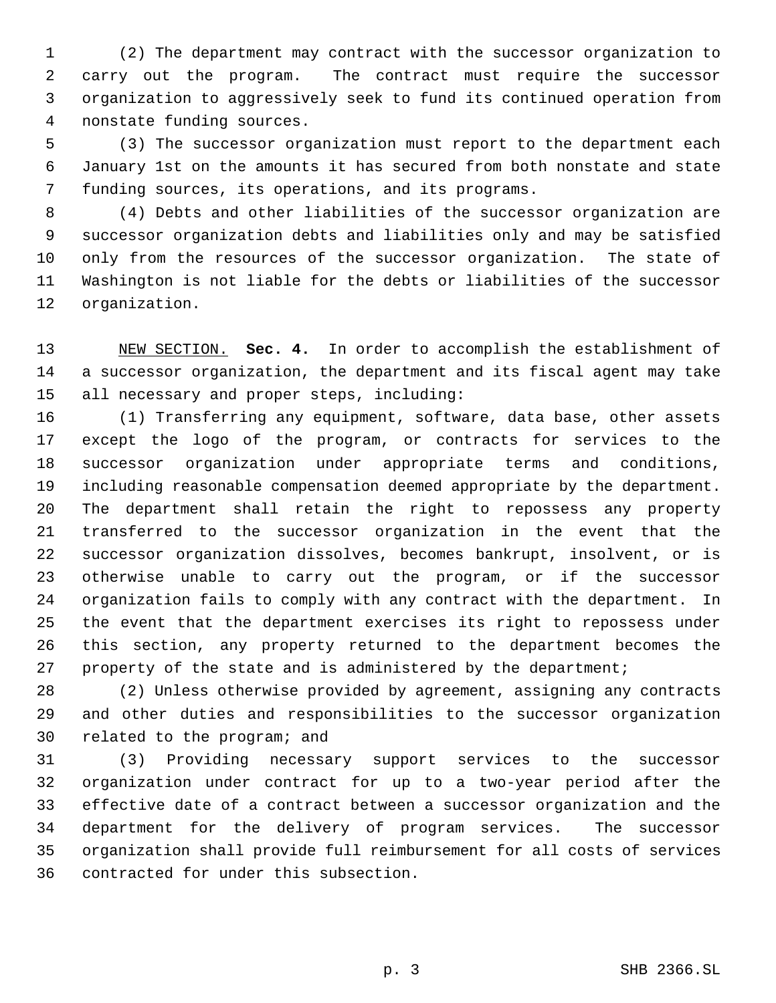(2) The department may contract with the successor organization to carry out the program. The contract must require the successor organization to aggressively seek to fund its continued operation from nonstate funding sources.

 (3) The successor organization must report to the department each January 1st on the amounts it has secured from both nonstate and state funding sources, its operations, and its programs.

 (4) Debts and other liabilities of the successor organization are successor organization debts and liabilities only and may be satisfied only from the resources of the successor organization. The state of Washington is not liable for the debts or liabilities of the successor organization.

 NEW SECTION. **Sec. 4.** In order to accomplish the establishment of a successor organization, the department and its fiscal agent may take all necessary and proper steps, including:

 (1) Transferring any equipment, software, data base, other assets except the logo of the program, or contracts for services to the successor organization under appropriate terms and conditions, including reasonable compensation deemed appropriate by the department. The department shall retain the right to repossess any property transferred to the successor organization in the event that the successor organization dissolves, becomes bankrupt, insolvent, or is otherwise unable to carry out the program, or if the successor organization fails to comply with any contract with the department. In the event that the department exercises its right to repossess under this section, any property returned to the department becomes the property of the state and is administered by the department;

 (2) Unless otherwise provided by agreement, assigning any contracts and other duties and responsibilities to the successor organization related to the program; and

 (3) Providing necessary support services to the successor organization under contract for up to a two-year period after the effective date of a contract between a successor organization and the department for the delivery of program services. The successor organization shall provide full reimbursement for all costs of services contracted for under this subsection.